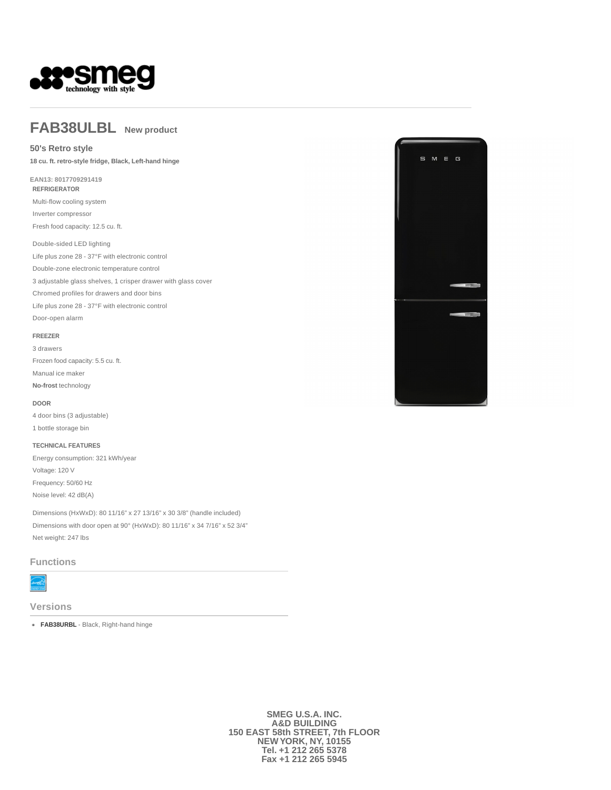

## **FAB38ULBL New product**

### **50's Retro style**

**18 cu. ft. retro-style fridge, Black, Left-hand hinge** 

#### **EAN13: 8017709291419 REFRIGERATOR**

Multi-flow cooling system Inverter compressor Fresh food capacity: 12.5 cu. ft.

#### Double-sided LED lighting

Life plus zone 28 - 37°F with electronic control Double-zone electronic temperature control 3 adjustable glass shelves, 1 crisper drawer with glass cover Chromed profiles for drawers and door bins Life plus zone 28 - 37°F with electronic control Door-open alarm

### **FREEZER**

3 drawers Frozen food capacity: 5.5 cu. ft. Manual ice maker **No-frost** technology

#### **DOOR**

4 door bins (3 adjustable) 1 bottle storage bin

#### **TECHNICAL FEATURES**

Energy consumption: 321 kWh/year Voltage: 120 V Frequency: 50/60 Hz Noise level: 42 dB(A)

Dimensions (HxWxD): 80 11/16" x 27 13/16" x 30 3/8" (handle included) Dimensions with door open at 90° (HxWxD): 80 11/16" x 34 7/16" x 52 3/4" Net weight: 247 lbs

## **Functions**



**Versions**

**FAB38URBL** - Black, Right-hand hinge



**SMEG U.S.A. INC. A&D BUILDING 150 EAST 58th STREET, 7th FLOOR NEW YORK, NY, 10155 Tel. +1 212 265 5378 Fax +1 212 265 5945**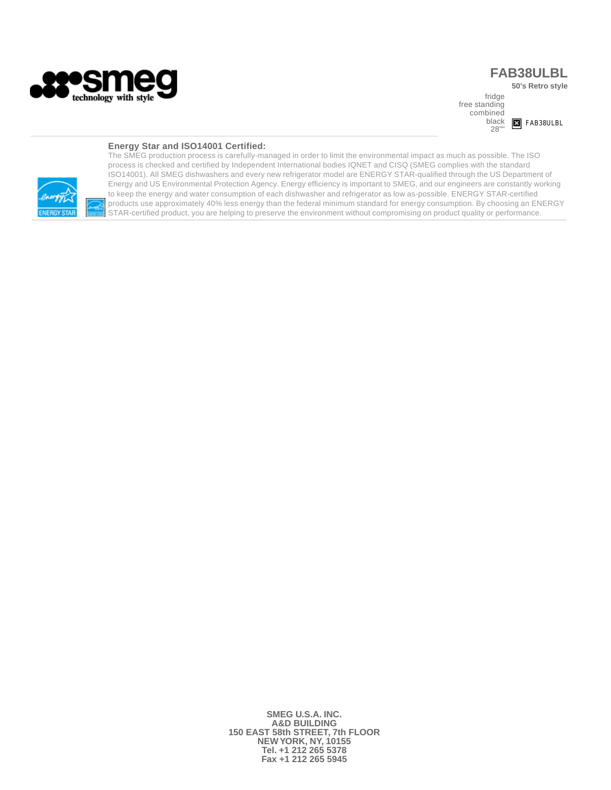

# **FAB38ULBL**

**50's Retro style** 

fridge free standing combined black 28""



## **Energy Star and ISO14001 Certified:**



The SMEG production process is carefully-managed in order to limit the environmental impact as much as possible. The ISO process is checked and certified by Independent International bodies IQNET and CISQ (SMEG complies with the standard ISO14001). All SMEG dishwashers and every new refrigerator model are ENERGY STAR-qualified through the US Department of Energy and US Environmental Protection Agency. Energy efficiency is important to SMEG, and our engineers are constantly working to keep the energy and water consumption of each dishwasher and refrigerator as low as-possible. ENERGY STAR-certified products use approximately 40% less energy than the federal minimum standard for energy consumption. By choosing an ENERGY STAR-certified product, you are helping to preserve the environment without compromising on product quality or performance.

> **SMEG U.S.A. INC. A&D BUILDING 150 EAST 58th STREET, 7th FLOOR NEW YORK, NY, 10155 Tel. +1 212 265 5378 Fax +1 212 265 5945**